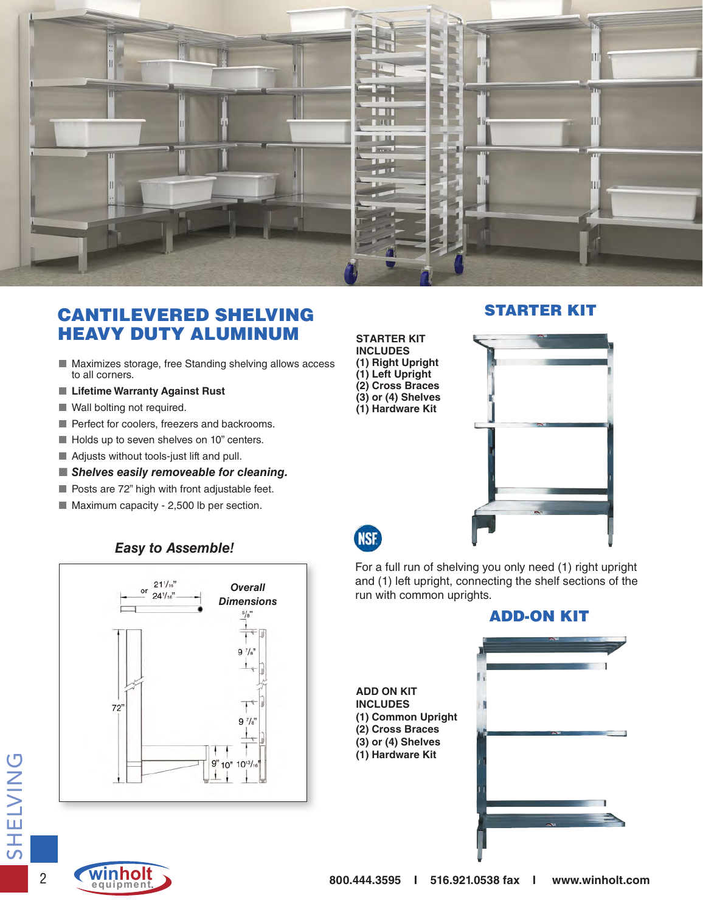

## CANTILEVERED SHELVING HEAVY DUTY ALUMINUM

- Maximizes storage, free Standing shelving allows access to all corners.
- Lifetime Warranty Against Rust
- Wall bolting not required.
- Perfect for coolers, freezers and backrooms.
- Holds up to seven shelves on 10" centers.
- Adjusts without tools-just lift and pull.
- **Shelves easily removeable for cleaning.**
- Posts are 72" high with front adjustable feet.
- Maximum capacity 2,500 lb per section.



#### STARTER KIT



**NSF** 

For a full run of shelving you only need (1) right upright and (1) left upright, connecting the shelf sections of the run with common uprights.



#### *Easy to Assemble!*



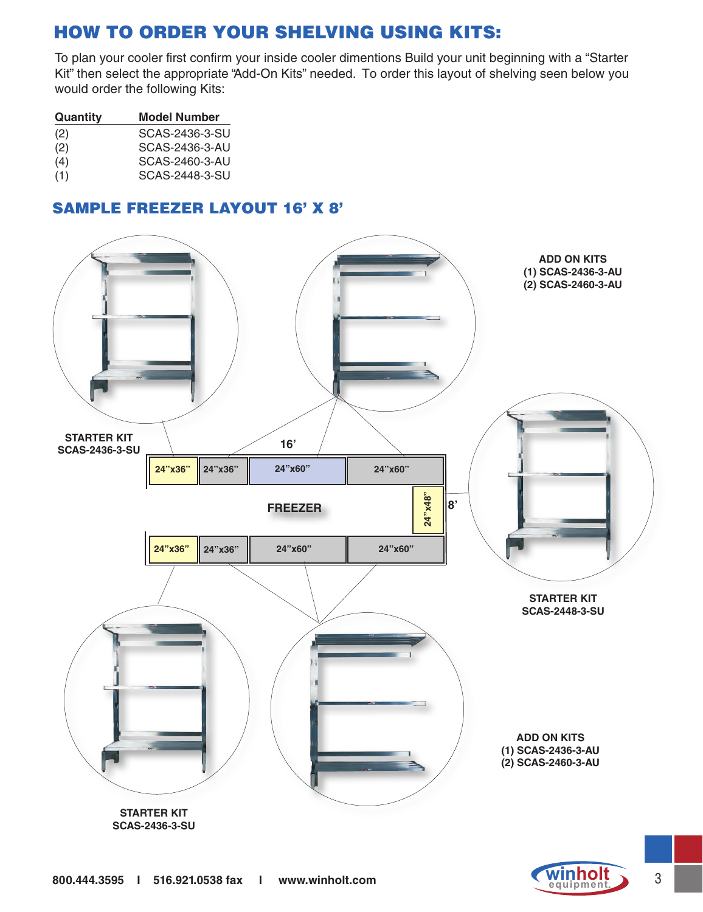# HOW TO ORDER YOUR SHELVING USING KITS:

To plan your cooler first confirm your inside cooler dimentions Build your unit beginning with a "Starter Kit" then select the appropriate "Add-On Kits" needed. To order this layout of shelving seen below you would order the following Kits:

| Quantity | <b>Model Number</b> |  |  |
|----------|---------------------|--|--|
| (2)      | SCAS-2436-3-SU      |  |  |
| (2)      | SCAS-2436-3-AU      |  |  |
| (4)      | SCAS-2460-3-AU      |  |  |
| (1)      | SCAS-2448-3-SU      |  |  |

### SAMPLE FREEZER LAYOUT 16' X 8'



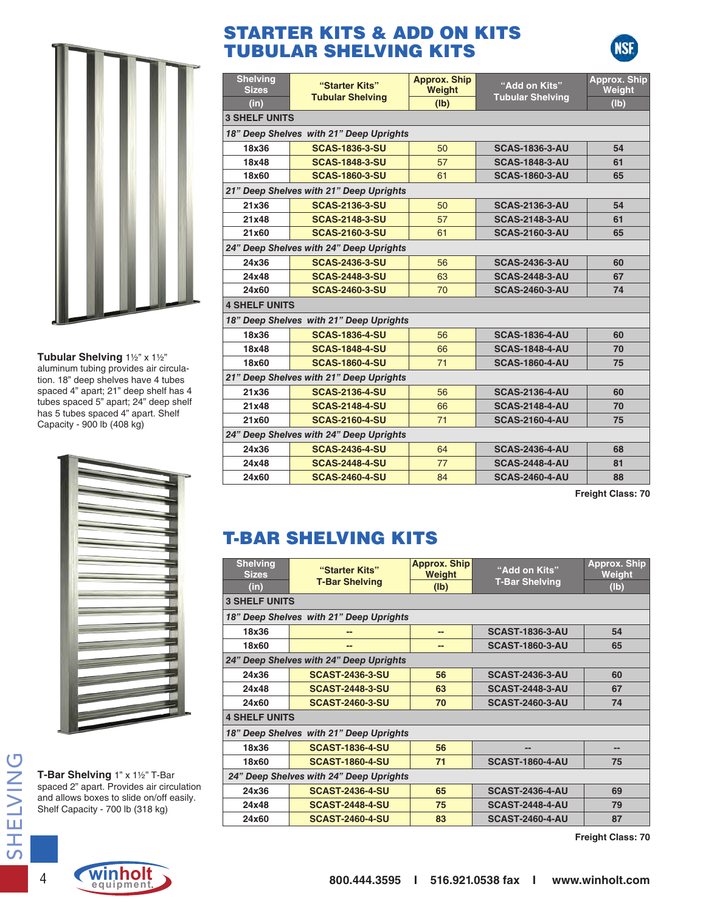**Tubular Shelving** 1½" x 1½" aluminum tubing provides air circulation. 18" deep shelves have 4 tubes spaced 4" apart; 21" deep shelf has 4 tubes spaced 5" apart; 24" deep shelf has 5 tubes spaced 4" apart. Shelf Capacity - 900 lb (408 kg)



**T-Bar Shelving** 1" x 1½" T-Bar spaced 2" apart. Provides air circulation and allows boxes to slide on/off easily. Shelf Capacity - 700 lb (318 kg)

# STARTER KITS & ADD ON KITS TUBULAR SHELVING KITS

| <b>Shelving</b><br><b>Sizes</b>         | "Starter Kits"                          | <b>Approx. Ship</b><br>Weight | "Add on Kits"           | <b>Approx. Ship</b><br>Weight |  |  |
|-----------------------------------------|-----------------------------------------|-------------------------------|-------------------------|-------------------------------|--|--|
| (in)                                    | <b>Tubular Shelving</b>                 | (Ib)                          | <b>Tubular Shelving</b> | (Ib)                          |  |  |
|                                         | <b>3 SHELF UNITS</b>                    |                               |                         |                               |  |  |
|                                         | 18" Deep Shelves with 21" Deep Uprights |                               |                         |                               |  |  |
| 18x36                                   | <b>SCAS-1836-3-SU</b>                   | 50                            | <b>SCAS-1836-3-AU</b>   | 54                            |  |  |
| 18x48                                   | <b>SCAS-1848-3-SU</b>                   | 57                            | <b>SCAS-1848-3-AU</b>   | 61                            |  |  |
| 18x60                                   | <b>SCAS-1860-3-SU</b>                   | 61                            | <b>SCAS-1860-3-AU</b>   | 65                            |  |  |
|                                         | 21" Deep Shelves with 21" Deep Uprights |                               |                         |                               |  |  |
| 21x36                                   | <b>SCAS-2136-3-SU</b>                   | 50                            | <b>SCAS-2136-3-AU</b>   | 54                            |  |  |
| 21x48                                   | <b>SCAS-2148-3-SU</b>                   | 57                            | <b>SCAS-2148-3-AU</b>   | 61                            |  |  |
| 21x60                                   | <b>SCAS-2160-3-SU</b>                   | 61                            | <b>SCAS-2160-3-AU</b>   | 65                            |  |  |
|                                         | 24" Deep Shelves with 24" Deep Uprights |                               |                         |                               |  |  |
| 24x36                                   | <b>SCAS-2436-3-SU</b>                   | 56                            | <b>SCAS-2436-3-AU</b>   | 60                            |  |  |
| 24x48                                   | <b>SCAS-2448-3-SU</b>                   | 63                            | <b>SCAS-2448-3-AU</b>   | 67                            |  |  |
| 24x60                                   | <b>SCAS-2460-3-SU</b>                   | 70                            | <b>SCAS-2460-3-AU</b>   | 74                            |  |  |
| <b>4 SHELF UNITS</b>                    |                                         |                               |                         |                               |  |  |
|                                         | 18" Deep Shelves with 21" Deep Uprights |                               |                         |                               |  |  |
| 18x36                                   | <b>SCAS-1836-4-SU</b>                   | 56                            | <b>SCAS-1836-4-AU</b>   | 60                            |  |  |
| 18x48                                   | <b>SCAS-1848-4-SU</b>                   | 66                            | <b>SCAS-1848-4-AU</b>   | 70                            |  |  |
| 18x60                                   | <b>SCAS-1860-4-SU</b>                   | 71                            | <b>SCAS-1860-4-AU</b>   | 75                            |  |  |
| 21" Deep Shelves with 21" Deep Uprights |                                         |                               |                         |                               |  |  |
| 21x36                                   | <b>SCAS-2136-4-SU</b>                   | 56                            | <b>SCAS-2136-4-AU</b>   | 60                            |  |  |
| 21x48                                   | <b>SCAS-2148-4-SU</b>                   | 66                            | <b>SCAS-2148-4-AU</b>   | 70                            |  |  |
| 21x60                                   | <b>SCAS-2160-4-SU</b>                   | 71                            | <b>SCAS-2160-4-AU</b>   | 75                            |  |  |
| 24" Deep Shelves with 24" Deep Uprights |                                         |                               |                         |                               |  |  |
| 24x36                                   | <b>SCAS-2436-4-SU</b>                   | 64                            | <b>SCAS-2436-4-AU</b>   | 68                            |  |  |
| 24x48                                   | <b>SCAS-2448-4-SU</b>                   | 77                            | <b>SCAS-2448-4-AU</b>   | 81                            |  |  |
| 24x60                                   | <b>SCAS-2460-4-SU</b>                   | 84                            | <b>SCAS-2460-4-AU</b>   | 88                            |  |  |

**Freight Class: 70**

# T-BAR SHELVING KITS

| <b>Shelving</b><br><b>Sizes</b><br>(in) | "Starter Kits"<br><b>T-Bar Shelving</b> | <b>Approx. Ship</b><br><b>Weight</b><br>(lb) | "Add on Kits"<br><b>T-Bar Shelving</b> | <b>Approx. Ship</b><br><b>Weight</b><br>(Ib) |
|-----------------------------------------|-----------------------------------------|----------------------------------------------|----------------------------------------|----------------------------------------------|
| <b>3 SHELF UNITS</b>                    |                                         |                                              |                                        |                                              |
|                                         | 18" Deep Shelves with 21" Deep Uprights |                                              |                                        |                                              |
| 18x36                                   |                                         | --                                           | <b>SCAST-1836-3-AU</b>                 | 54                                           |
| 18x60                                   | --                                      | --                                           | <b>SCAST-1860-3-AU</b>                 | 65                                           |
|                                         | 24" Deep Shelves with 24" Deep Uprights |                                              |                                        |                                              |
| 24x36                                   | <b>SCAST-2436-3-SU</b>                  | 56                                           | <b>SCAST-2436-3-AU</b>                 | 60                                           |
| 24x48                                   | <b>SCAST-2448-3-SU</b>                  | 63                                           | <b>SCAST-2448-3-AU</b>                 | 67                                           |
| 24x60                                   | <b>SCAST-2460-3-SU</b>                  | 70                                           | <b>SCAST-2460-3-AU</b>                 | 74                                           |
| <b>4 SHELF UNITS</b>                    |                                         |                                              |                                        |                                              |
|                                         | 18" Deep Shelves with 21" Deep Uprights |                                              |                                        |                                              |
| 18x36                                   | <b>SCAST-1836-4-SU</b>                  | 56                                           | --                                     |                                              |
| 18x60                                   | <b>SCAST-1860-4-SU</b>                  | 71                                           | <b>SCAST-1860-4-AU</b>                 | 75                                           |
| 24" Deep Shelves with 24" Deep Uprights |                                         |                                              |                                        |                                              |
| 24x36                                   | <b>SCAST-2436-4-SU</b>                  | 65                                           | <b>SCAST-2436-4-AU</b>                 | 69                                           |
| 24x48                                   | <b>SCAST-2448-4-SU</b>                  | 75                                           | <b>SCAST-2448-4-AU</b>                 | 79                                           |
| 24x60                                   | <b>SCAST-2460-4-SU</b>                  | 83                                           | <b>SCAST-2460-4-AU</b>                 | 87                                           |

**Freight Class: 70**